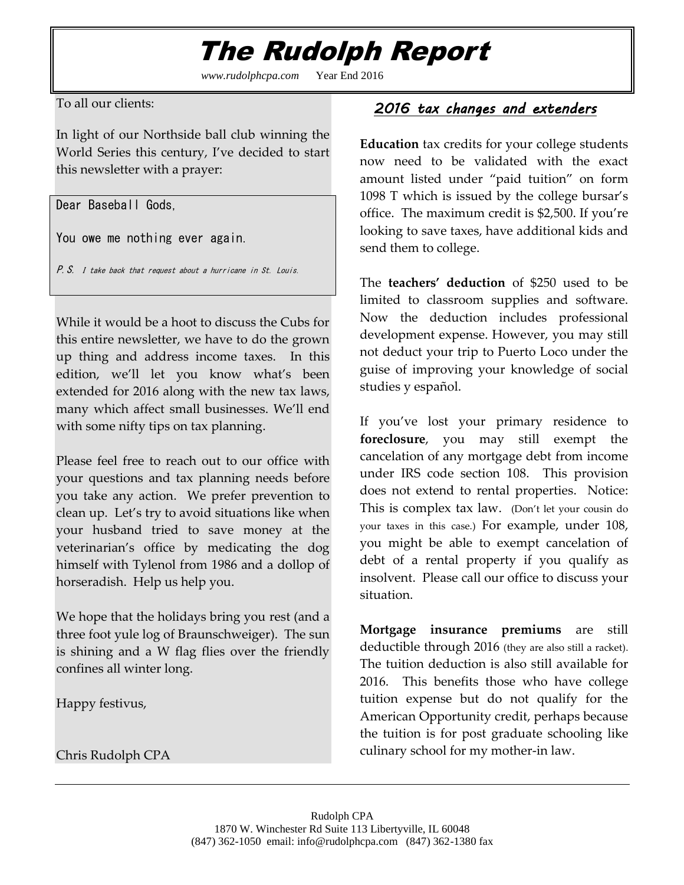## The Rudolph Report

*www.rudolphcpa.com* Year End 2016

To all our clients:

In light of our Northside ball club winning the World Series this century, I've decided to start this newsletter with a prayer:

Dear Baseball Gods,

You owe me nothing ever again.

P.S. I take back that request about a hurricane in St. Louis.

While it would be a hoot to discuss the Cubs for this entire newsletter, we have to do the grown up thing and address income taxes. In this edition, we'll let you know what's been extended for 2016 along with the new tax laws, many which affect small businesses. We'll end with some nifty tips on tax planning.

Please feel free to reach out to our office with your questions and tax planning needs before you take any action. We prefer prevention to clean up. Let's try to avoid situations like when your husband tried to save money at the veterinarian's office by medicating the dog himself with Tylenol from 1986 and a dollop of horseradish. Help us help you.

We hope that the holidays bring you rest (and a three foot yule log of Braunschweiger). The sun is shining and a W flag flies over the friendly confines all winter long.

Happy festivus,

Chris Rudolph CPA

### *2016 tax changes and extenders*

**Education** tax credits for your college students now need to be validated with the exact amount listed under "paid tuition" on form 1098 T which is issued by the college bursar's office. The maximum credit is \$2,500. If you're looking to save taxes, have additional kids and send them to college.

The **teachers' deduction** of \$250 used to be limited to classroom supplies and software. Now the deduction includes professional development expense. However, you may still not deduct your trip to Puerto Loco under the guise of improving your knowledge of social studies y español.

If you've lost your primary residence to **foreclosure**, you may still exempt the cancelation of any mortgage debt from income under IRS code section 108. This provision does not extend to rental properties. Notice: This is complex tax law. (Don't let your cousin do your taxes in this case.) For example, under 108, you might be able to exempt cancelation of debt of a rental property if you qualify as insolvent. Please call our office to discuss your situation.

**Mortgage insurance premiums** are still deductible through 2016 (they are also still a racket). The tuition deduction is also still available for 2016. This benefits those who have college tuition expense but do not qualify for the American Opportunity credit, perhaps because the tuition is for post graduate schooling like culinary school for my mother-in law.